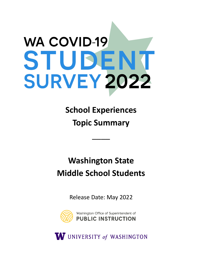# **WA COVID-19** STUDENT **SURVEY 2022**

**School Experiences Topic Summary** 

\_\_\_\_

# **Washington State Middle School Students**

Release Date: May 2022



W UNIVERSITY of WASHINGTON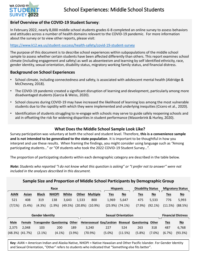

# **Brief Overview of the COVID-19 Student Survey**:

In February 2022, nearly 8,000 middle school students grades 6-8 completed an online survey to assess behaviors and attitudes across a number of health domains relevant to the COVID-19 pandemic. For more information about the survey or to view other reports, please visit:

# <https://www.k12.wa.us/student-success/health-safety/covid-19-student-survey>

The purpose of this document is to describe school experiences within subpopulations of the middle school sample to assess whether certain students have been affected differently than others. This report examines school climate (including engagement and safety) as well as absenteeism and learning by self identified ethnicity, race, gender identity, sexual orientation, disability status, migratory working family status, and financial distress.

# **Background on School Experiences**

- School climate, including connectedness and safety, is associated with adolescent mental health (Aldridge & McChesney, 2018).
- The COVID-19 pandemic created a significant disruption of learning and development, particularly among more disadvantaged students (Garcia & Weiss, 2020).
- School closures during COVID-19 may have increased the likelihood of learning loss among the most vulnerable students due to the rapidity with which they were implemented and underlying inequities (Cicero et al., 2020).
- Identification of students struggling to re-engage with schools may serve to guide safely reopening schools and aid in offsetting the risk for widening disparities in student performance (Masonbrink & Hurley, 2020).

# **What Does the Middle School Sample Look Like?**

Survey participation was voluntary at both the school and student level. Therefore, **this is a convenience sample and is not intended to be generalized to the state population**. It is important to be thoughtful in how you interpret and use these results. When framing the findings, you might consider using language such as "Among participating students…" or "Of students who took the 2022 COVID-19 Student Survey…".

The proportion of participating students within each demographic category are described in the table below.

*Note: Students who reported "I do not know what this question is asking" or "I prefer not to answer" were not included in the analyses described in this document.* 

| Sample Size and Proportion of Middle School Participants by Demographic Group |         |                                |              |         |         |                 |  |                           |                           |                             |           |                           |                           |
|-------------------------------------------------------------------------------|---------|--------------------------------|--------------|---------|---------|-----------------|--|---------------------------|---------------------------|-----------------------------|-----------|---------------------------|---------------------------|
| Race                                                                          |         |                                |              |         |         |                 |  | <b>Hispanic</b>           |                           | <b>Disability Status</b>    |           | <b>Migratory Status</b>   |                           |
| <b>AIAN</b>                                                                   | Asian   | <b>Black</b>                   | <b>NHOPI</b> | White   | Other   | <b>Multiple</b> |  | <u>Yes</u>                | $\underline{\mathsf{No}}$ | <u>Yes</u>                  | $No$      | <u>Yes</u>                | $\underline{\mathsf{No}}$ |
| 521                                                                           | 408     | 319                            | 138          | 3,643   | 1,533   | 800             |  | 1,969                     | 5,647                     | 475                         | 5,533     | 776                       | 5,993                     |
| (7/1%)                                                                        | (5.4%)  | (4.3%)                         | (1.9%)       | (49.5%) | (20.8%) | $(10.9\%)$      |  | $(25.9\%)$ $(74.1\%)$     |                           | (7.9%                       | (92.1%)   | (11.5%)                   | (88.5%)                   |
|                                                                               |         |                                |              |         |         |                 |  |                           |                           |                             |           |                           |                           |
| <b>Gender Identity</b>                                                        |         |                                |              |         |         |                 |  | <b>Sexual Orientation</b> |                           |                             |           | <b>Financial Distress</b> |                           |
| <b>Male</b>                                                                   | Female  | <b>Transgender Questioning</b> |              | Other   |         |                 |  | Heterosexual Gay/Lesbian  |                           | <b>Bisexual Questioning</b> | Other     | <u>Yes</u>                | $\underline{\mathsf{No}}$ |
| 2,375                                                                         | 2,048   | 103                            | 200          | 189     |         | 3,240           |  | 227                       | 524                       | 263                         | 318       | 487                       | 6,768                     |
| (48.3%)                                                                       | (41.7%) | $(2.1\%)$                      | $(4.1\%)$    | (3.9%)  |         | (70.9%)         |  | $(5.0\%)$                 | (11.5%)                   | (5.8%)                      | $(7.0\%)$ | (6.7%)                    | (93.3%)                   |

**Key**: AIAN = American Indian and Alaska Native, NHOPI = Native Hawaiian and Other Pacific Islander. For Gender Identity and Sexual Orientation, "Other" refers to students who indicated that "Something else fits better".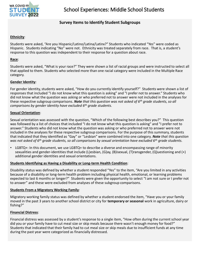

# **Survey Items to Identify Student Subgroups**

# **Ethnicity**:

Students were asked, "Are you Hispanic/Latino/Latina/Latinx?" Students who indicated "Yes" were coded as Hispanic. Students indicating "No" were not. Ethnicity was treated separately from race. That is, a student's response to this question was independent to their response for a question about race.

# **Race**:

Students were asked, "What is your race?" They were shown a list of racial groups and were instructed to select all that applied to them. Students who selected more than one racial category were included in the Multiple Race category.

# **Gender Identity**:

For gender identity, students were asked, "How do you currently identify yourself?" Students were shown a list of responses that included "I do not know what this question is asking" and "I prefer not to answer." Students who did not know what the question was asking or who preferred not to answer were not included in the analyses for these respective subgroup comparisons. *Note that this question was not asked of 6th grade students, so all comparisons by gender identity have excluded 6th grade students.* 

# **Sexual Orientation**:

Sexual orientation was assessed with the question, "Which of the following best describes you?" This question was followed by a list of choices that included "I do not know what this question is asking" and "I prefer not to answer." Students who did not know what the question was asking or who preferred not to answer were not included in the analyses for these respective subgroup comparisons. For the purpose of this summary, students that indicated that they identified as "Gay" or "Lesbian" were combined into one category. *Note that this question was not asked of 6th grade students, so all comparisons by sexual orientation have excluded 6th grade students.* 

 $LGBTQ+$ : In this document, we use  $LGBTQ+$  to describe a diverse and encompassing range of minority sexualities and gender-identities that include (L)esbian, (G)ay, (B)isexual, (T)ransgender, (Q)uestioning and (+) additional gender identities and sexual orientations.

# **Students Identifying as Having a Disability or Long-term Health Condition**:

Disability status was defined by whether a student responded "Yes" to the item, "Are you limited in any activities because of a disability or long-term health problem including physical health, emotional, or learning problems expected to last 6 months or longer?" Students were given the opportunity to select "I am not sure or I prefer not to answer" and these were excluded from analyses of these subgroup comparisons.

# **Students From a Migratory Working Family**:

Migratory working family status was defined by whether a student endorsed the item, "Have you or your family moved in the past 3 years to another school district or city for **temporary or seasonal** work in agriculture, dairy or fishing?"

# **Financial Distress**:

Financial distress was assessed by a student's response to a single item, "How often during the current school year did you or your family have to cut meal size or skip meals because there wasn't enough money for food?" Students that indicated that their family had to cut meal size or skip meals due to insufficient funds at any time during the past year were categorized as financially distressed.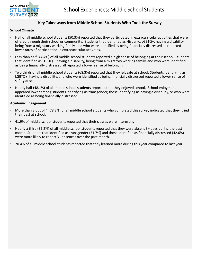

# **Key Takeaways from Middle School Students Who Took the Survey**

# **School Climate**

- Half of all middle school students (50.3%) reported that they participated in extracurricular activities that were offered through their school or community. Students that identified as Hispanic, LGBTQ+, having a disability, being from a migratory working family, and who were identified as being financially distressed all reported lower rates of participation in extracurricular activities.
- Less than half (44.4%) of all middle school students reported a high sense of belonging at their school. Students that identified as LGBTQ+, having a disability, being from a migratory working family, and who were identified as being financially distressed all reported a lower sense of belonging.
- Two thirds of all middle school students (68.3%) reported that they felt safe at school. Students identifying as LGBTQ+, having a disability, and who were identified as being financially distressed reported a lower sense of safety at school.
- Nearly half (48.1%) of all middle school students reported that they enjoyed school. School enjoyment appeared lower among students identifying as transgender, those identifying as having a disability, or who were identified as being financially distressed.

### **Academic Engagement**

- More than 3 out of 4 (78.2%) of all middle school students who completed this survey indicated that they tried their best at school.
- 41.9% of middle school students reported that their classes were interesting.
- Nearly a third (32.2%) of all middle school students reported that they were absent 3+ days during the past month. Students that identified as transgender (51.7%) and those identified as financially distressed (42.6%) were more likely to report 3+ absences over the past month.
- 70.4% of all middle school students reported that they learned more during this year compared to last year.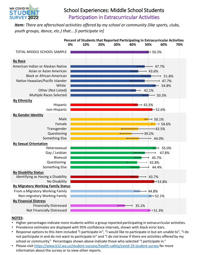

# School Experiences: Middle School Students Participation in Extracurricular Activities

*Item: There are afterschool activities offered by my school or community (like sports, clubs, youth groups, dance, etc.) that… [I participate in]* 



- Higher percentages indicate more students within a group reported participating in extracurricular activities.
- Prevalence estimates are displayed with 95% confidence intervals, shown with black error bars.
- Response options to this item included "I participate in", "I would like to participate in but am unable to", "I do not participate in and do not want to participate in" and "I do not know if there are activities offered by my school or community." Percentages shown above indicate those who selected "I participate in."
- Please visit<https://www.k12.wa.us/student-success/health-safety/covid-19-student-survey>for more information about the survey or to view other reports.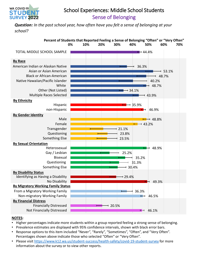

# School Experiences: Middle School Students Sense of Belonging

*Question: In the past school year, how often have you felt a sense of belonging at your school?* 



- Higher percentages indicate more students within a group reported feeling a strong sense of belonging.
- Prevalence estimates are displayed with 95% confidence intervals, shown with black error bars.
- Response options to this item included "Never", "Rarely", "Sometimes", "Often", and "Very Often". Percentages shown above indicate those who selected "Often" or "Very Often".
- Please visit<https://www.k12.wa.us/student-success/health-safety/covid-19-student-survey>for more information about the survey or to view other reports.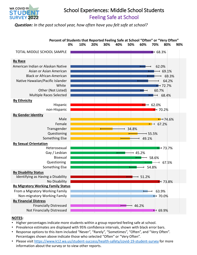

# School Experiences: Middle School Students Feeling Safe at School

*Question: In the past school year, how often have you felt safe at school?* 



- Higher percentages indicate more students within a group reported feeling safe at school.
- Prevalence estimates are displayed with 95% confidence intervals, shown with black error bars.
- Response options to this item included "Never", "Rarely", "Sometimes", "Often", and "Very Often". Percentages shown above indicate those who selected "Often" or "Very Often".
- Please visit<https://www.k12.wa.us/student-success/health-safety/covid-19-student-survey>for more information about the survey or to view other reports.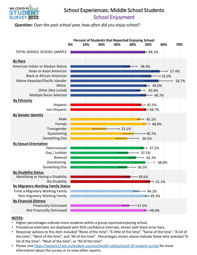

# School Experiences: Middle School Students School Enjoyment

*Question: Over the past school year, how often did you enjoy school?* 



- Higher percentages indicate more students within a group reported enjoying school.
- Prevalence estimates are displayed with 95% confidence intervals, shown with black error bars.
- Response options to this item included "None of the time", "A little of the time", "Some of the time", "A lot of the time", "Most of the time", and "All of the time". Percentages shown above indicate those who selected "A lot of the time", "Most of the time", or "All of the time".
- Please visit<https://www.k12.wa.us/student-success/health-safety/covid-19-student-survey>for more information about the survey or to view other reports.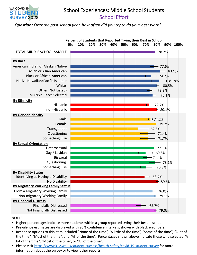

# School Experiences: Middle School Students School Effort

*Question: Over the past school year, how often did you try to do your best work?* 



- Higher percentages indicate more students within a group reported trying their best in school.
- Prevalence estimates are displayed with 95% confidence intervals, shown with black error bars.
- Response options to this item included "None of the time", "A little of the time", "Some of the time", "A lot of the time", "Most of the time", and "All of the time". Percentages shown above indicate those who selected "A lot of the time", "Most of the time", or "All of the time".
- Please visit<https://www.k12.wa.us/student-success/health-safety/covid-19-student-survey>for more information about the survey or to view other reports.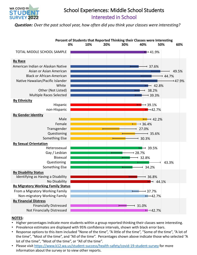

# School Experiences: Middle School Students Interested in School

*Question: Over the past school year, how often did you think your classes were interesting?* 



- Higher percentages indicate more students within a group reported thinking their classes were interesting.
- Prevalence estimates are displayed with 95% confidence intervals, shown with black error bars.
- Response options to this item included "None of the time", "A little of the time", "Some of the time", "A lot of the time", "Most of the time", and "All of the time". Percentages shown above indicate those who selected "A lot of the time", "Most of the time", or "All of the time".
- Please visit<https://www.k12.wa.us/student-success/health-safety/covid-19-student-survey>for more information about the survey or to view other reports.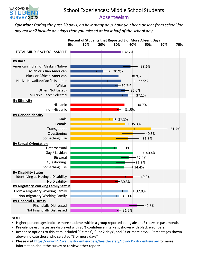

# School Experiences: Middle School Students Absenteeism

*Question: During the past 30 days, on how many days have you been absent from school for any reason? Include any days that you missed at least half of the school day.* 



- Higher percentages indicate more students within a group reported being absent 3+ days in past month.
- Prevalence estimates are displayed with 95% confidence intervals, shown with black error bars.
- Response options to this item included "0 times", "1 or 2 days", and "3 or more days". Percentages shown above indicate those who selected "3 or more days".
- Please visit<https://www.k12.wa.us/student-success/health-safety/covid-19-student-survey>for more information about the survey or to view other reports.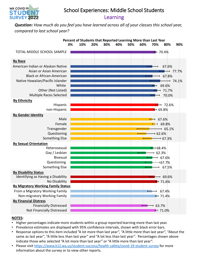

# School Experiences: Middle School Students Learning

*Question: How much do you feel you have learned across all of your classes this school year, compared to last school year?* 



- Higher percentages indicate more students within a group reported learning more than last year.
- Prevalence estimates are displayed with 95% confidence intervals, shown with black error bars.
- Response options to this item included "A lot more than last year", "A little more than last year", "About the same as last year", "A little less than last year" and "A lot less than last year". Percentages shown above indicate those who selected "A lot more than last year" or "A little more than last year".
- Please visit<https://www.k12.wa.us/student-success/health-safety/covid-19-student-survey>for more information about the survey or to view other reports.